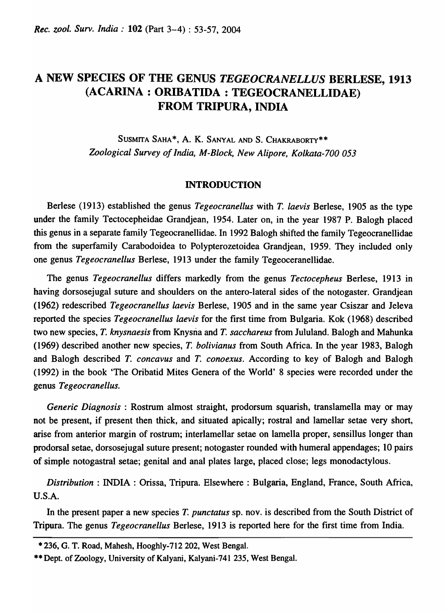# A NEW SPECIES OF THE GENUS *TEGEOCRANELLUS* BERLESE, 1913 (ACARINA: ORIBATIDA : TEGEOCRANELLIDAE) FROM TRIPURA, INDIA

SUSMITA SAHA\*, A. K. SANYAL AND S. CHAKRABORTY\*\* *Zoological Survey of India, M-Block, New Alipore, Kolkata-700 053* 

### INTRODUCTION

Berlese (1913) established the genus *Tegeocranellus* with *T. laevis* Berlese, 1905 as the type under the family Tectocepheidae Grandjean, 1954. Later on, in the year 1987 P. Balogh placed this genus in a separate family Tegeocranellidae. In 1992 Balogh shifted the family Tegeocranellidae from the superfamily Carabodoidea to Polypterozetoidea Grandjean, 1959. They included only one genus *Tegeocranellus* Berlese, 1913 under the family Tegeoceranellidae.

The genus *Tegeocranellus* differs markedly from the genus *Tectocepheus* Berlese, 1913 in having dorsosejugal suture and shoulders on the antero-Iateral sides of the notogaster. Grandjean (1962) redescribed *Tegeocranellus laevis* Berlese, 1905 and in the same year Csiszar and leleva reported the species *TegeoCranellus laevis* for the first time from Bulgaria. Kok (1968) described two new species, *T. knysnaesis* from Knysria and *T. sacchareus* from lululand. Balogh and Mahunka (1969) described another new species, *T. bolivianus* from South Africa. In the year 1983, Balogh and Balogh described *T. concavus* and *T. conoexus.* According to key of Balogh and Balogh (1992) in the book 'The Oribatid Mites Genera of the World' 8 species were recorded under the genus *Tegeocranellus.* 

*Generic Diagnosis* : Rostrum almost straight, prodorsum squarish, translamella may or may not be present, if present then thick, and situated apically; rostral and lamellar setae very short, arise from anterior margin of rostrum; interlamellar setae on lamella proper, sensillus longer than prodorsal setae, dorsosejugal suture present; notogaster rounded with humeral appendages; 10 pairs of simple notogastral setae; genital and anal plates large, placed close; legs monodactylous.

*Distribution:* INDIA : Orissa, Tripura. Elsewhere: Bulgaria, England, France, South Africa, U.S.A.

In the present paper a new species *T. punctatus* sp. nov. is described from the South District of Tripura. The genus *Tegeocranellus* Berlese, 1913 is reported here for the first time from India.

<sup>• 236,</sup> G. T. Road, Mahesh, Hooghly-712 202, West Bengal .

<sup>••</sup> Dept. of Zoology, University of Kalyani, Kalyani-741 235, West Bengal.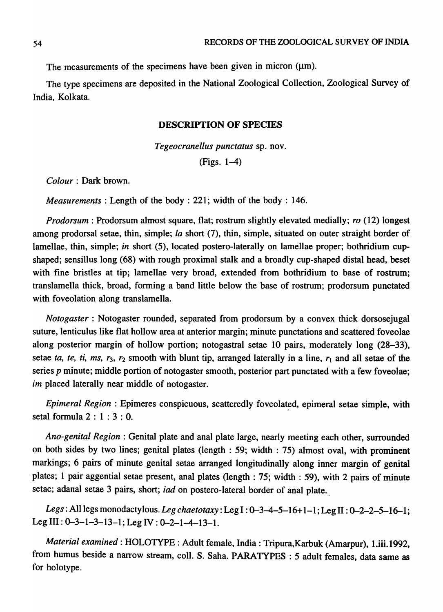The measurements of the specimens have been given in micron ( $\mu$ m).

The type specimens are deposited in the National Zoological Collection, Zoological Survey of India, Kolkata.

### DESCRIPTION OF SPECIES

*Tegeocranellus punctatus* sp. nov.

(Figs. 1-4)

*Colour:* Dark brown.

*Measurements:* Length of the body: 221; width of the body: 146.

*Prodorsum* : Prodorsum almost square, flat; rostrum slightly elevated medially; *ro* (12) longest among prodorsal setae, thin, simple; *la* short (7), thin, simple, situated on outer straight border of lamellae, thin, simple; *in* short (5), located postero-Iaterally on lamellae proper; bothridium cupshaped; sensillus long (68) with rough proximal stalk and a broadly cup-shaped distal head, beset with fine bristles at tip; lamellae very broad, extended from bothridium to base of rostrum; translamella thick, broad, forming a band little below the base of rostrum; prodorsum punctated with foveolation along translamella.

*Notogaster* : Notogaster rounded, separated from prodorsum by a convex thick dorsosejugal suture, lenticulus like flat hollow area at anterior margin; minute punctations and scattered foveolae along posterior margin of hollow portion; notogastral setae 10 pairs, moderately long (28-33), setae *ta, te, ti, ms, r<sub>3</sub>, r<sub>2</sub> smooth with blunt tip, arranged laterally in a line,*  $r_1$  *and all setae of the* series *p* minute; middle portion of notogaster smooth, posterior part punctated with a few foveolae; *im* placed laterally near middle of notogaster.

*Epimeral Region*: Epimeres conspicuous, scatteredly foveolated, epimeral setae simple, with setal formula  $2:1:3:0$ .

*Ano-genital Region:* Genital plate and anal plate large, nearly meeting each other, surrounded on both sides by two lines; genital plates (length: 59; width: 75) almost oval, with prominent markings; 6 pairs of minute genital setae arranged longitudinally along inner margin of genital plates; 1 pair aggential setae present, anal plates (length: 75; width: 59), with 2 pairs of minute setae; adanal setae 3 pairs, short; *iad* on postero-lateral border of anal plate.

*Legs:* All legs monodacty lous. *Leg chaetotaxy* : Leg I : 0-3-4-5-16+ 1-1; Leg II : 0-2-2-5-16-1; Leg III:  $0-3-1-3-13-1$ ; Leg IV:  $0-2-1-4-13-1$ .

*Material examined:* HOLOTYPE: Adult female, India: Tripura,Karbuk (Amarpur), l.iii.1992, from humus beside a narrow stream, coll. S. Saha. PARATYPES : 5 adult females, data same as for holotype.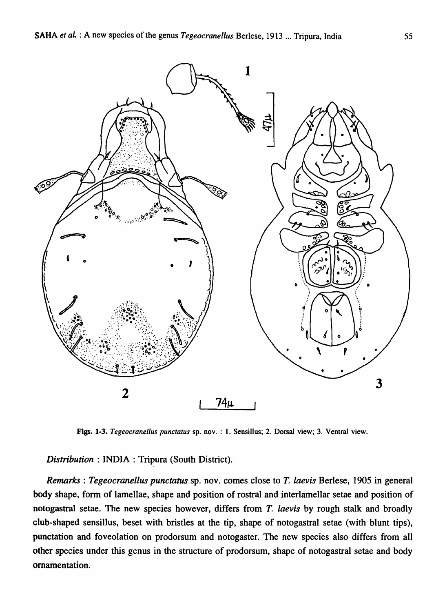

Figs. 1-3. *Tegeocranellus punctatus* sp. nov. : 1. Sensillus; 2. Dorsal view; 3. Ventral view.

*Distribution* : INDIA : Tripura (South District).

*Remarks: Tegeocranellus punctatus* sp. nov. comes close to T. *laevis* Berlese, 1905 in general body shape, form of lamellae, shape and position of rostral and interlamellar setae and position of notogastral setae. The new species however, differs from *T. laevis* by rough stalk and broadly club-shaped sensillus, beset with bristles at the tip, shape of notogastral setae (with blunt tips), punctation and foveolation on prodorsum and notogaster. The new species also differs from all other species under this genus in the structure of prodorsum, shape of notogastral setae and body ornamentation.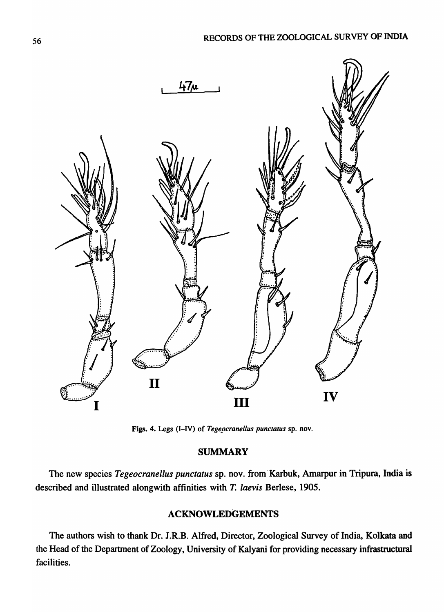

Figs. 4. Legs (I-IV) of *Tegeocranellus punctatus* sp. nov.

## **SUMMARY**

The new species *Tegeocranellus punctatus* sp. nov. from' Karbuk, Amarpur in Tripura, India is described and illustrated alongwith affinities with *T. laevis* Berlese, 1905.

# ACKNOWLEDGEMENTS

The authors wish to thank Dr. J.R.B. Alfred, Director, Zoological Survey of India, Kolkata and the Head of the Department of Zoology, University of Kalyani for providing necessary infrastructural facilities.